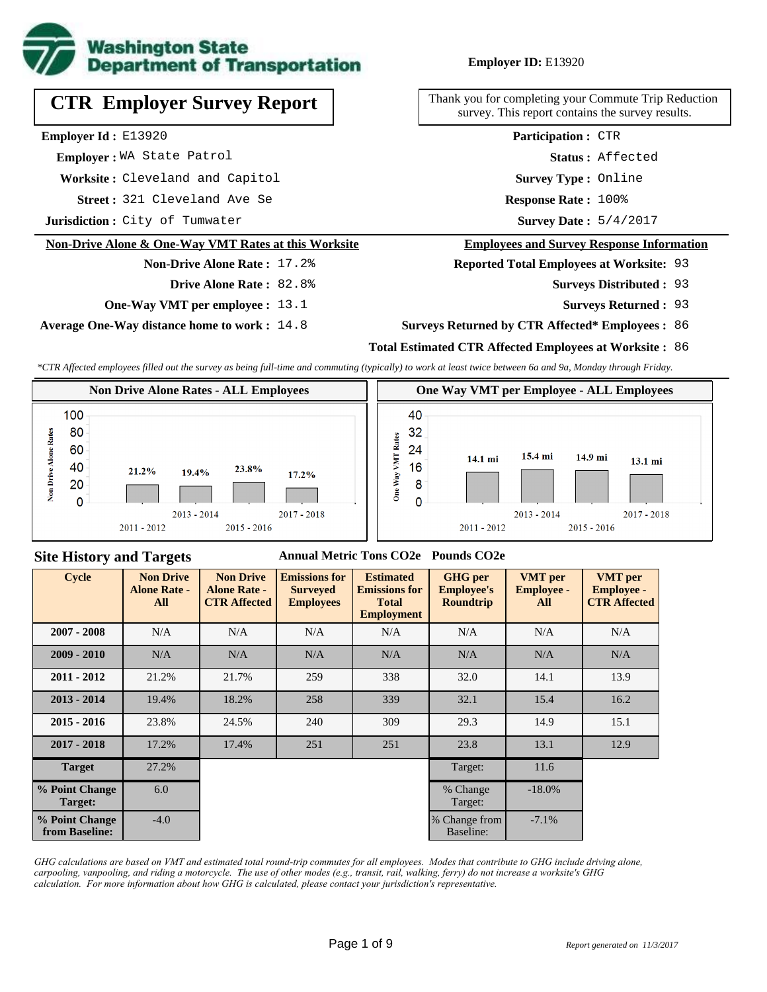

# **CTR Employer Survey Report**

**Employer Id :** E13920

 **Employer :** WA State Patrol

**Worksite :** Cleveland and Capitol

321 Cleveland Ave Se **Response Rate : Street :**

**Jurisdiction :** City of Tumwater

#### **Non-Drive Alone & One-Way VMT Rates at this Worksite**

# **Non-Drive Alone Rate :** 17.2%

**Drive Alone Rate :** 82.8%

**One-Way VMT per employee :** 13.1

**Average One-Way distance home to work :** 14.8

**Employer ID:** E13920

Thank you for completing your Commute Trip Reduction survey. This report contains the survey results.

> Response Rate: 100% **Survey Type :** Online **Status :** Affected **Participation :** CTR

Survey Date: 5/4/2017

#### **Employees and Survey Response Information**

**Reported Total Employees at Worksite:** 93

- 93 **Surveys Distributed :**
	- **Surveys Returned :** 93

#### **Surveys Returned by CTR Affected\* Employees :** 86

#### **Total Estimated CTR Affected Employees at Worksite :** 86

*\*CTR Affected employees filled out the survey as being full-time and commuting (typically) to work at least twice between 6a and 9a, Monday through Friday.*



### **Site History and Targets**

#### **Annual Metric Tons CO2e Pounds CO2e**

| <b>Cycle</b>                     | <b>Non Drive</b><br><b>Alone Rate -</b><br>All | <b>Non Drive</b><br><b>Alone Rate -</b><br><b>CTR Affected</b> | <b>Emissions for</b><br><b>Surveyed</b><br><b>Employees</b> | <b>Estimated</b><br><b>Emissions for</b><br><b>Total</b><br><b>Employment</b> | <b>GHG</b> per<br><b>Employee's</b><br><b>Roundtrip</b> | <b>VMT</b> per<br><b>Employee -</b><br>All | <b>VMT</b> per<br><b>Employee -</b><br><b>CTR Affected</b> |
|----------------------------------|------------------------------------------------|----------------------------------------------------------------|-------------------------------------------------------------|-------------------------------------------------------------------------------|---------------------------------------------------------|--------------------------------------------|------------------------------------------------------------|
| $2007 - 2008$                    | N/A                                            | N/A<br>N/A                                                     |                                                             | N/A                                                                           | N/A                                                     | N/A                                        | N/A                                                        |
| $2009 - 2010$                    | N/A                                            | N/A                                                            | N/A                                                         | N/A                                                                           | N/A                                                     | N/A                                        | N/A                                                        |
| $2011 - 2012$                    | 21.2%                                          | 21.7%                                                          | 259                                                         | 338<br>32.0                                                                   |                                                         | 14.1                                       | 13.9                                                       |
| $2013 - 2014$                    | 19.4%                                          | 18.2%                                                          | 258                                                         | 339                                                                           | 32.1                                                    | 15.4                                       | 16.2                                                       |
| $2015 - 2016$                    | 23.8%                                          | 24.5%                                                          | 240                                                         | 309                                                                           | 29.3                                                    | 14.9                                       | 15.1                                                       |
| $2017 - 2018$                    | 17.2%                                          | 17.4%                                                          | 251                                                         | 251                                                                           | 23.8                                                    | 13.1                                       | 12.9                                                       |
| <b>Target</b>                    | 27.2%                                          |                                                                |                                                             |                                                                               | Target:                                                 | 11.6                                       |                                                            |
| % Point Change<br>Target:        | 6.0                                            |                                                                |                                                             |                                                                               | % Change<br>Target:                                     | $-18.0\%$                                  |                                                            |
| % Point Change<br>from Baseline: | $-4.0$                                         |                                                                |                                                             |                                                                               | % Change from<br>Baseline:                              | $-7.1\%$                                   |                                                            |

*GHG calculations are based on VMT and estimated total round-trip commutes for all employees. Modes that contribute to GHG include driving alone, carpooling, vanpooling, and riding a motorcycle. The use of other modes (e.g., transit, rail, walking, ferry) do not increase a worksite's GHG calculation. For more information about how GHG is calculated, please contact your jurisdiction's representative.*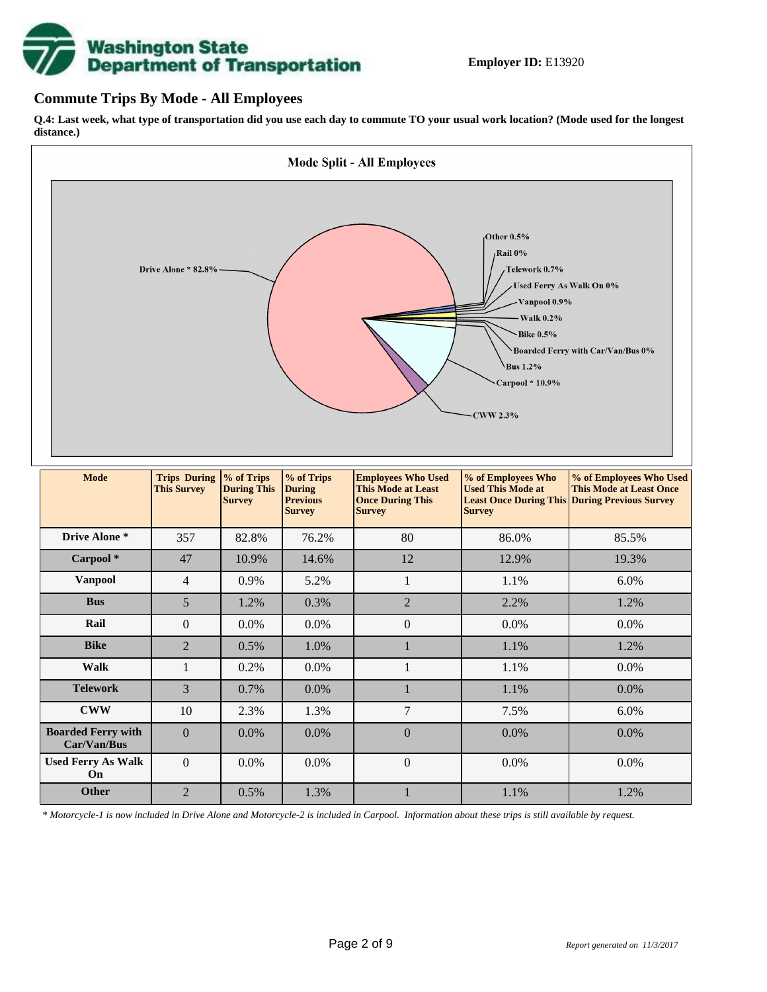# **Washington State<br>Department of Transportation**

## **Commute Trips By Mode - All Employees**

**Q.4: Last week, what type of transportation did you use each day to commute TO your usual work location? (Mode used for the longest distance.)**



*\* Motorcycle-1 is now included in Drive Alone and Motorcycle-2 is included in Carpool. Information about these trips is still available by request.*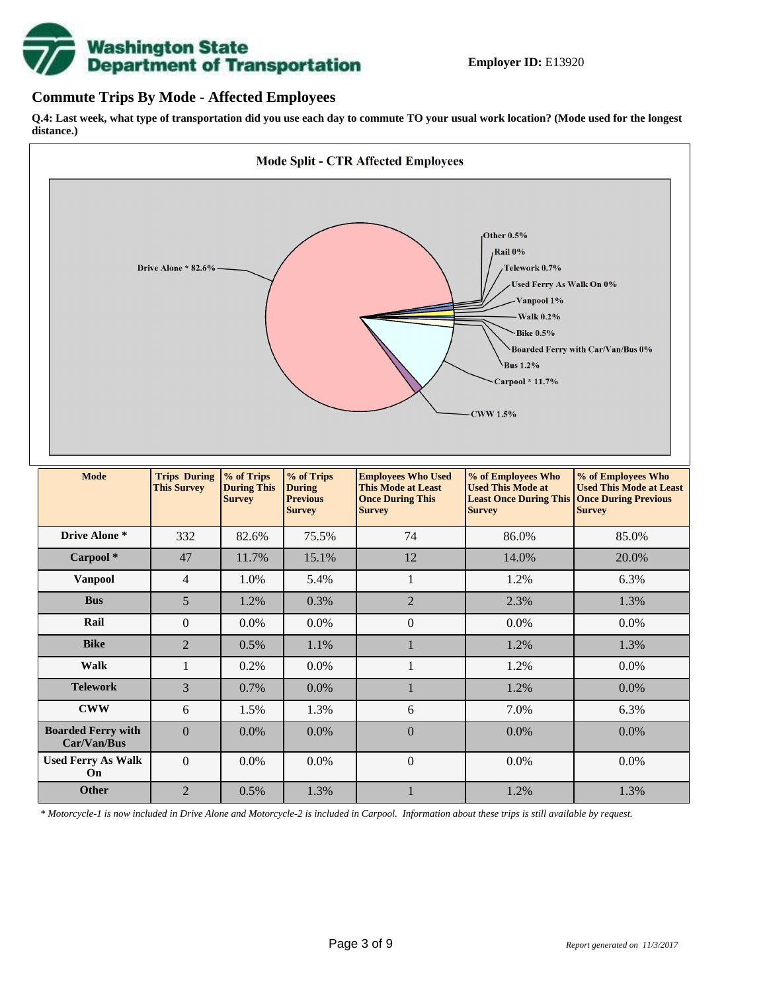

## **Commute Trips By Mode - Affected Employees**

**Q.4: Last week, what type of transportation did you use each day to commute TO your usual work location? (Mode used for the longest distance.)**



*\* Motorcycle-1 is now included in Drive Alone and Motorcycle-2 is included in Carpool. Information about these trips is still available by request.*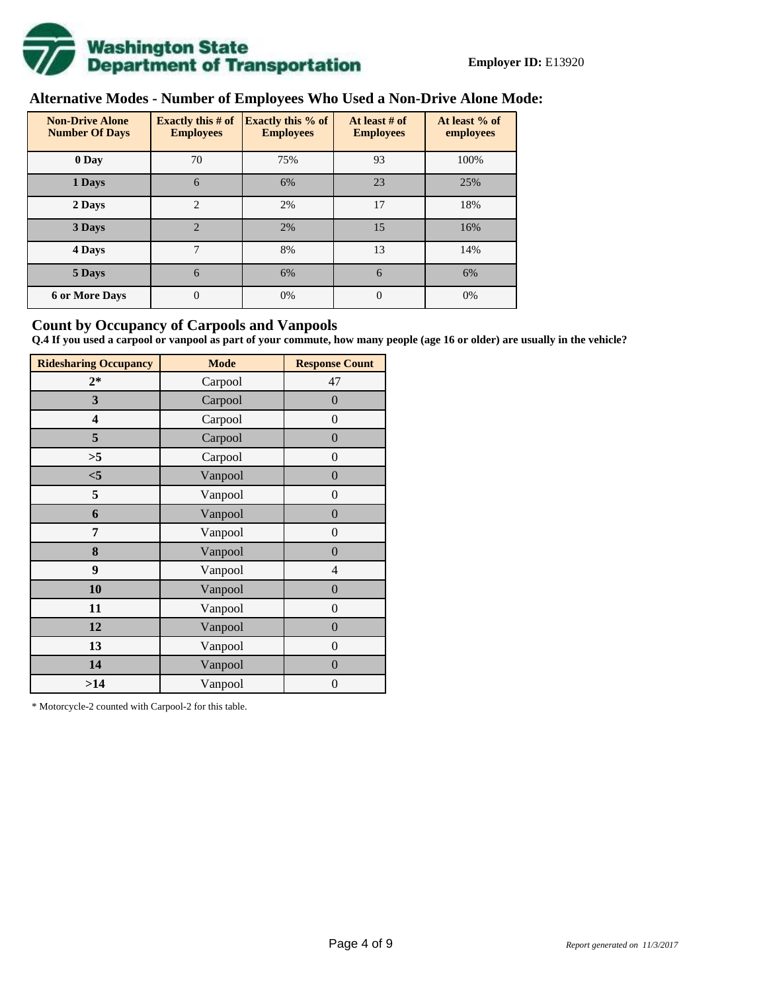

# **Alternative Modes - Number of Employees Who Used a Non-Drive Alone Mode:**

| <b>Non-Drive Alone</b><br><b>Number Of Days</b> | <b>Exactly this # of</b><br><b>Employees</b> | <b>Exactly this % of</b><br><b>Employees</b> | At least # of<br><b>Employees</b> | At least % of<br>employees |
|-------------------------------------------------|----------------------------------------------|----------------------------------------------|-----------------------------------|----------------------------|
| 0 Day                                           | 70                                           | 75%                                          | 93                                | 100%                       |
| 1 Days                                          | 6                                            | 6%                                           | 23                                | 25%                        |
| 2 Days                                          | $\overline{2}$                               | 2%                                           | 17                                | 18%                        |
| 3 Days                                          | $\overline{2}$                               | 2%                                           | 15                                | 16%                        |
| 4 Days                                          | 7                                            | 8%                                           | 13                                | 14%                        |
| 5 Days                                          | 6                                            | 6%                                           | 6                                 | 6%                         |
| <b>6 or More Days</b>                           | $\theta$                                     | 0%                                           | $\Omega$                          | 0%                         |

## **Count by Occupancy of Carpools and Vanpools**

**Q.4 If you used a carpool or vanpool as part of your commute, how many people (age 16 or older) are usually in the vehicle?**

| <b>Ridesharing Occupancy</b> | <b>Mode</b> | <b>Response Count</b> |
|------------------------------|-------------|-----------------------|
| $2*$                         | Carpool     | 47                    |
| 3                            | Carpool     | $\overline{0}$        |
| 4                            | Carpool     | $\boldsymbol{0}$      |
| 5                            | Carpool     | $\overline{0}$        |
| >5                           | Carpool     | $\overline{0}$        |
| $<$ 5                        | Vanpool     | $\overline{0}$        |
| 5                            | Vanpool     | $\overline{0}$        |
| 6                            | Vanpool     | $\boldsymbol{0}$      |
| 7                            | Vanpool     | $\overline{0}$        |
| 8                            | Vanpool     | $\overline{0}$        |
| 9                            | Vanpool     | $\overline{4}$        |
| 10                           | Vanpool     | $\overline{0}$        |
| 11                           | Vanpool     | $\boldsymbol{0}$      |
| 12                           | Vanpool     | $\boldsymbol{0}$      |
| 13                           | Vanpool     | $\boldsymbol{0}$      |
| 14                           | Vanpool     | $\overline{0}$        |
| >14                          | Vanpool     | $\boldsymbol{0}$      |

\* Motorcycle-2 counted with Carpool-2 for this table.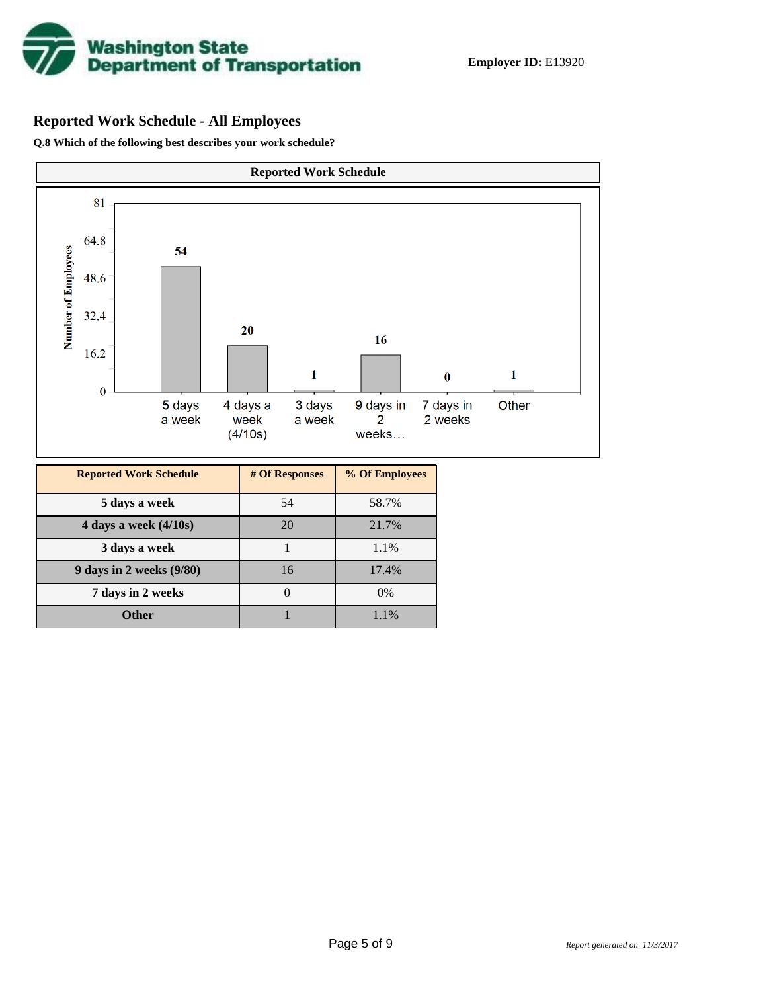

# **Reported Work Schedule - All Employees**

**Q.8 Which of the following best describes your work schedule?**

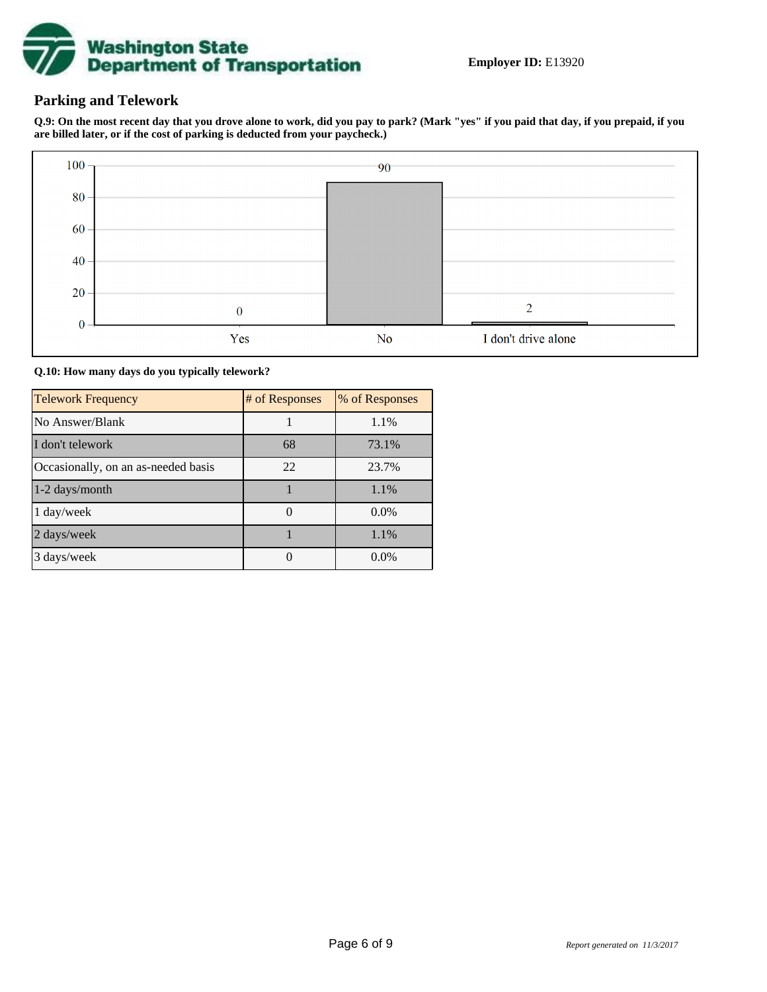

## **Parking and Telework**

**Q.9: On the most recent day that you drove alone to work, did you pay to park? (Mark "yes" if you paid that day, if you prepaid, if you are billed later, or if the cost of parking is deducted from your paycheck.)**



**Q.10: How many days do you typically telework?**

| <b>Telework Frequency</b>           | # of Responses | % of Responses |
|-------------------------------------|----------------|----------------|
| No Answer/Blank                     |                | 1.1%           |
| I don't telework                    | 68             | 73.1%          |
| Occasionally, on an as-needed basis | 22             | 23.7%          |
| 1-2 days/month                      |                | 1.1%           |
| $1 \text{ day/week}$                |                | $0.0\%$        |
| 2 days/week                         |                | 1.1%           |
| 3 days/week                         |                | $0.0\%$        |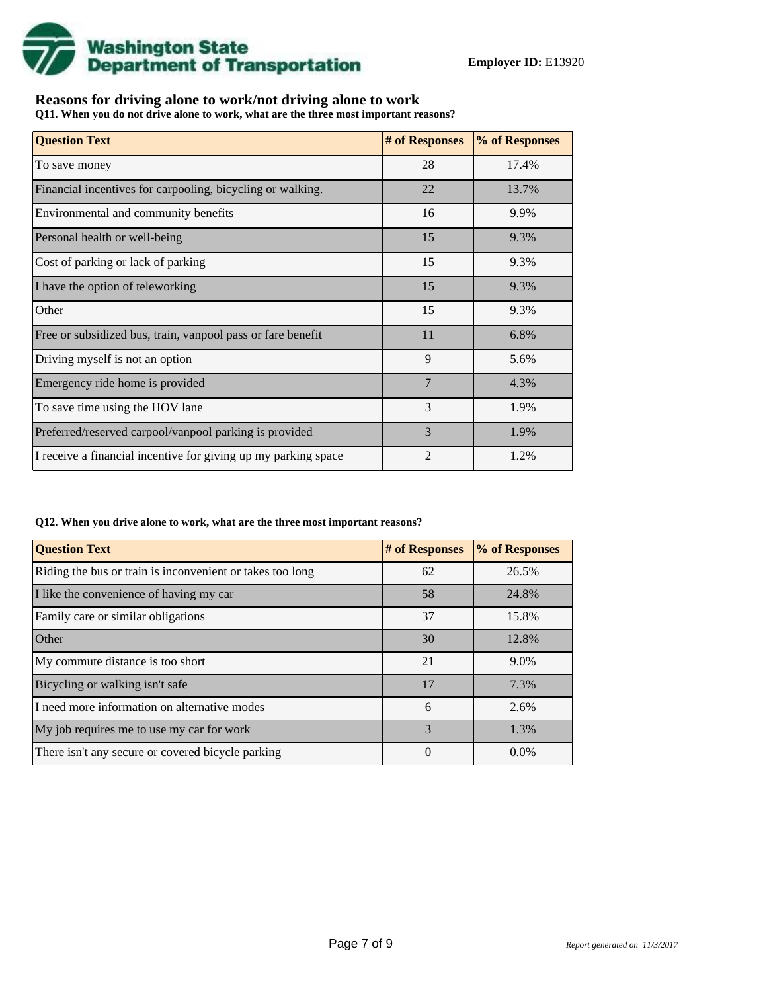

## **Reasons for driving alone to work/not driving alone to work**

**Q11. When you do not drive alone to work, what are the three most important reasons?**

| <b>Question Text</b>                                           | # of Responses | % of Responses |
|----------------------------------------------------------------|----------------|----------------|
| To save money                                                  | 28             | 17.4%          |
| Financial incentives for carpooling, bicycling or walking.     | 22             | 13.7%          |
| Environmental and community benefits                           | 16             | 9.9%           |
| Personal health or well-being                                  | 15             | 9.3%           |
| Cost of parking or lack of parking                             | 15             | 9.3%           |
| I have the option of teleworking                               | 15             | 9.3%           |
| Other                                                          | 15             | 9.3%           |
| Free or subsidized bus, train, vanpool pass or fare benefit    | 11             | 6.8%           |
| Driving myself is not an option                                | 9              | 5.6%           |
| Emergency ride home is provided                                | $\overline{7}$ | 4.3%           |
| To save time using the HOV lane                                | 3              | 1.9%           |
| Preferred/reserved carpool/vanpool parking is provided         | 3              | 1.9%           |
| I receive a financial incentive for giving up my parking space | $\overline{2}$ | 1.2%           |

#### **Q12. When you drive alone to work, what are the three most important reasons?**

| <b>Question Text</b>                                      | # of Responses | % of Responses |
|-----------------------------------------------------------|----------------|----------------|
| Riding the bus or train is inconvenient or takes too long | 62             | 26.5%          |
| I like the convenience of having my car                   | 58             | 24.8%          |
| Family care or similar obligations                        | 37             | 15.8%          |
| Other                                                     | 30             | 12.8%          |
| My commute distance is too short                          | 21             | 9.0%           |
| Bicycling or walking isn't safe                           | 17             | 7.3%           |
| I need more information on alternative modes              | 6              | 2.6%           |
| My job requires me to use my car for work                 | 3              | 1.3%           |
| There isn't any secure or covered bicycle parking         | $\overline{0}$ | $0.0\%$        |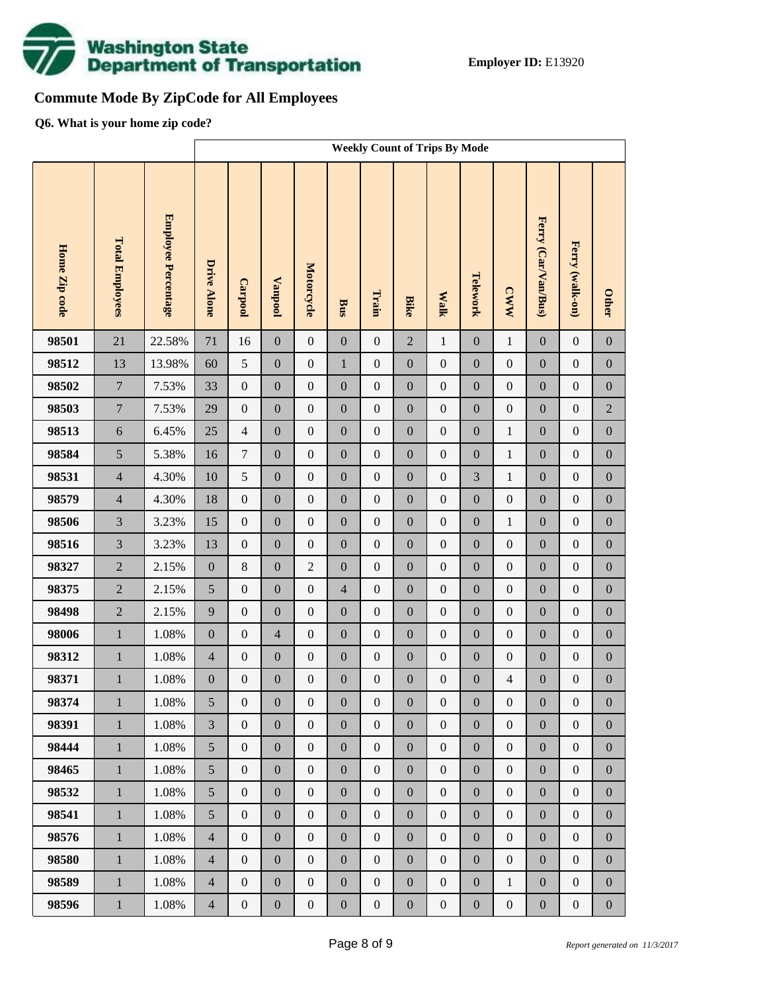

# **Commute Mode By ZipCode for All Employees**

**Q6. What is your home zip code?**

|               |                        |                     | <b>Weekly Count of Trips By Mode</b> |                  |                  |                  |                  |                  |                  |                  |                  |                  |                     |                  |                  |
|---------------|------------------------|---------------------|--------------------------------------|------------------|------------------|------------------|------------------|------------------|------------------|------------------|------------------|------------------|---------------------|------------------|------------------|
| Home Zip code | <b>Total Employees</b> | Employee Percentage | <b>Drive Alone</b>                   | Carpool          | <b>Vanpool</b>   | Motorcycle       | <b>Bus</b>       | Train            | <b>Bike</b>      | <b>Walk</b>      | Telework         | <b>CWW</b>       | Ferry (Car/Van/Bus) | Ferry (walk-on)  | <b>Other</b>     |
| 98501         | 21                     | 22.58%              | 71                                   | 16               | $\boldsymbol{0}$ | $\mathbf{0}$     | $\boldsymbol{0}$ | $\boldsymbol{0}$ | $\overline{2}$   | $\mathbf{1}$     | $\boldsymbol{0}$ | $\mathbf{1}$     | $\mathbf{0}$        | $\boldsymbol{0}$ | $\boldsymbol{0}$ |
| 98512         | 13                     | 13.98%              | 60                                   | 5                | $\boldsymbol{0}$ | $\boldsymbol{0}$ | $\mathbf{1}$     | $\boldsymbol{0}$ | $\boldsymbol{0}$ | $\boldsymbol{0}$ | $\boldsymbol{0}$ | $\boldsymbol{0}$ | $\boldsymbol{0}$    | $\boldsymbol{0}$ | $\boldsymbol{0}$ |
| 98502         | $\overline{7}$         | 7.53%               | 33                                   | $\boldsymbol{0}$ | $\boldsymbol{0}$ | $\boldsymbol{0}$ | $\boldsymbol{0}$ | $\boldsymbol{0}$ | $\boldsymbol{0}$ | $\boldsymbol{0}$ | $\boldsymbol{0}$ | $\boldsymbol{0}$ | $\boldsymbol{0}$    | $\boldsymbol{0}$ | $\boldsymbol{0}$ |
| 98503         | $\overline{7}$         | 7.53%               | 29                                   | $\boldsymbol{0}$ | $\boldsymbol{0}$ | $\boldsymbol{0}$ | $\boldsymbol{0}$ | $\boldsymbol{0}$ | $\overline{0}$   | $\boldsymbol{0}$ | $\boldsymbol{0}$ | $\boldsymbol{0}$ | $\boldsymbol{0}$    | $\boldsymbol{0}$ | $\sqrt{2}$       |
| 98513         | $\sqrt{6}$             | 6.45%               | 25                                   | $\overline{4}$   | $\boldsymbol{0}$ | $\boldsymbol{0}$ | $\boldsymbol{0}$ | $\boldsymbol{0}$ | $\boldsymbol{0}$ | $\boldsymbol{0}$ | $\boldsymbol{0}$ | $\,1$            | $\boldsymbol{0}$    | $\boldsymbol{0}$ | $\boldsymbol{0}$ |
| 98584         | 5                      | 5.38%               | 16                                   | $\boldsymbol{7}$ | $\boldsymbol{0}$ | $\boldsymbol{0}$ | $\boldsymbol{0}$ | $\boldsymbol{0}$ | $\overline{0}$   | $\boldsymbol{0}$ | $\boldsymbol{0}$ | $\mathbf{1}$     | $\boldsymbol{0}$    | $\boldsymbol{0}$ | $\boldsymbol{0}$ |
| 98531         | $\overline{4}$         | 4.30%               | 10                                   | 5                | $\boldsymbol{0}$ | $\boldsymbol{0}$ | $\boldsymbol{0}$ | $\boldsymbol{0}$ | $\boldsymbol{0}$ | $\boldsymbol{0}$ | 3                | $\mathbf{1}$     | $\boldsymbol{0}$    | $\boldsymbol{0}$ | $\boldsymbol{0}$ |
| 98579         | $\overline{4}$         | 4.30%               | 18                                   | $\boldsymbol{0}$ | $\boldsymbol{0}$ | $\boldsymbol{0}$ | $\boldsymbol{0}$ | $\boldsymbol{0}$ | $\overline{0}$   | $\boldsymbol{0}$ | $\boldsymbol{0}$ | $\boldsymbol{0}$ | $\boldsymbol{0}$    | $\boldsymbol{0}$ | $\boldsymbol{0}$ |
| 98506         | $\overline{3}$         | 3.23%               | 15                                   | $\boldsymbol{0}$ | $\boldsymbol{0}$ | $\boldsymbol{0}$ | $\boldsymbol{0}$ | $\boldsymbol{0}$ | $\boldsymbol{0}$ | $\boldsymbol{0}$ | $\boldsymbol{0}$ | $\mathbf{1}$     | $\boldsymbol{0}$    | $\boldsymbol{0}$ | $\boldsymbol{0}$ |
| 98516         | $\overline{3}$         | 3.23%               | 13                                   | $\boldsymbol{0}$ | $\boldsymbol{0}$ | $\boldsymbol{0}$ | $\boldsymbol{0}$ | $\boldsymbol{0}$ | $\overline{0}$   | $\boldsymbol{0}$ | $\boldsymbol{0}$ | $\boldsymbol{0}$ | $\boldsymbol{0}$    | $\boldsymbol{0}$ | $\boldsymbol{0}$ |
| 98327         | $\overline{2}$         | 2.15%               | $\boldsymbol{0}$                     | $\,8\,$          | $\boldsymbol{0}$ | $\overline{2}$   | $\boldsymbol{0}$ | $\boldsymbol{0}$ | $\boldsymbol{0}$ | $\boldsymbol{0}$ | $\boldsymbol{0}$ | $\boldsymbol{0}$ | $\boldsymbol{0}$    | $\boldsymbol{0}$ | $\boldsymbol{0}$ |
| 98375         | $\overline{2}$         | 2.15%               | 5                                    | $\boldsymbol{0}$ | $\boldsymbol{0}$ | $\boldsymbol{0}$ | $\overline{4}$   | $\boldsymbol{0}$ | $\overline{0}$   | $\boldsymbol{0}$ | $\boldsymbol{0}$ | $\boldsymbol{0}$ | $\boldsymbol{0}$    | $\boldsymbol{0}$ | $\boldsymbol{0}$ |
| 98498         | $\overline{2}$         | 2.15%               | 9                                    | $\boldsymbol{0}$ | $\boldsymbol{0}$ | $\boldsymbol{0}$ | $\boldsymbol{0}$ | $\boldsymbol{0}$ | $\boldsymbol{0}$ | $\boldsymbol{0}$ | $\boldsymbol{0}$ | $\boldsymbol{0}$ | $\boldsymbol{0}$    | $\boldsymbol{0}$ | $\boldsymbol{0}$ |
| 98006         | $\mathbf{1}$           | $1.08\%$            | $\boldsymbol{0}$                     | $\boldsymbol{0}$ | $\overline{4}$   | $\boldsymbol{0}$ | $\boldsymbol{0}$ | $\boldsymbol{0}$ | $\overline{0}$   | $\boldsymbol{0}$ | $\boldsymbol{0}$ | $\boldsymbol{0}$ | $\boldsymbol{0}$    | $\boldsymbol{0}$ | $\boldsymbol{0}$ |
| 98312         | $\mathbf{1}$           | $1.08\%$            | $\overline{4}$                       | $\boldsymbol{0}$ | $\boldsymbol{0}$ | $\boldsymbol{0}$ | $\boldsymbol{0}$ | $\boldsymbol{0}$ | $\boldsymbol{0}$ | $\boldsymbol{0}$ | $\boldsymbol{0}$ | $\boldsymbol{0}$ | $\boldsymbol{0}$    | $\boldsymbol{0}$ | $\boldsymbol{0}$ |
| 98371         | $\,1$                  | $1.08\%$            | $\boldsymbol{0}$                     | $\boldsymbol{0}$ | $\boldsymbol{0}$ | $\boldsymbol{0}$ | $\boldsymbol{0}$ | $\boldsymbol{0}$ | $\mathbf{0}$     | $\boldsymbol{0}$ | $\boldsymbol{0}$ | $\overline{4}$   | $\boldsymbol{0}$    | $\boldsymbol{0}$ | $\boldsymbol{0}$ |
| 98374         | $\mathbf{1}$           | $1.08\%$            | 5                                    | $\boldsymbol{0}$ | $\boldsymbol{0}$ | $\boldsymbol{0}$ | $\boldsymbol{0}$ | $\boldsymbol{0}$ | $\boldsymbol{0}$ | $\mathbf{0}$     | $\boldsymbol{0}$ | $\boldsymbol{0}$ | $\boldsymbol{0}$    | $\boldsymbol{0}$ | $\boldsymbol{0}$ |
| 98391         | $\mathbf{1}$           | 1.08%               | $\overline{3}$                       | $\overline{0}$   | $\boldsymbol{0}$ | $\boldsymbol{0}$ | $\boldsymbol{0}$ | $\boldsymbol{0}$ | $\overline{0}$   | $\boldsymbol{0}$ | $\boldsymbol{0}$ | $\boldsymbol{0}$ | $\boldsymbol{0}$    | $\boldsymbol{0}$ | $\overline{0}$   |
| 98444         | $\,1\,$                | 1.08%               | 5                                    | $\boldsymbol{0}$ | $\boldsymbol{0}$ | $\boldsymbol{0}$ | $\boldsymbol{0}$ | $\boldsymbol{0}$ | $\boldsymbol{0}$ | $\boldsymbol{0}$ | $\boldsymbol{0}$ | $\boldsymbol{0}$ | $\boldsymbol{0}$    | $\boldsymbol{0}$ | $\boldsymbol{0}$ |
| 98465         | $\mathbf{1}$           | 1.08%               | 5                                    | $\boldsymbol{0}$ | $\boldsymbol{0}$ | $\boldsymbol{0}$ | $\boldsymbol{0}$ | $\boldsymbol{0}$ | $\boldsymbol{0}$ | $\boldsymbol{0}$ | $\boldsymbol{0}$ | $\boldsymbol{0}$ | $\boldsymbol{0}$    | $\boldsymbol{0}$ | $\boldsymbol{0}$ |
| 98532         | $\mathbf{1}$           | 1.08%               | 5                                    | $\boldsymbol{0}$ | $\boldsymbol{0}$ | $\boldsymbol{0}$ | $\boldsymbol{0}$ | $\boldsymbol{0}$ | $\overline{0}$   | $\boldsymbol{0}$ | $\boldsymbol{0}$ | $\boldsymbol{0}$ | $\boldsymbol{0}$    | $\boldsymbol{0}$ | $\boldsymbol{0}$ |
| 98541         | $\mathbf{1}$           | 1.08%               | 5                                    | $\boldsymbol{0}$ | $\boldsymbol{0}$ | $\boldsymbol{0}$ | $\boldsymbol{0}$ | $\boldsymbol{0}$ | $\boldsymbol{0}$ | $\boldsymbol{0}$ | $\boldsymbol{0}$ | $\boldsymbol{0}$ | $\boldsymbol{0}$    | $\boldsymbol{0}$ | $\boldsymbol{0}$ |
| 98576         | $\mathbf{1}$           | 1.08%               | $\overline{4}$                       | $\boldsymbol{0}$ | $\boldsymbol{0}$ | $\boldsymbol{0}$ | $\boldsymbol{0}$ | $\boldsymbol{0}$ | $\overline{0}$   | $\boldsymbol{0}$ | $\boldsymbol{0}$ | $\boldsymbol{0}$ | $\boldsymbol{0}$    | $\boldsymbol{0}$ | $\boldsymbol{0}$ |
| 98580         | $\,1\,$                | 1.08%               | $\overline{4}$                       | $\boldsymbol{0}$ | $\boldsymbol{0}$ | $\boldsymbol{0}$ | $\boldsymbol{0}$ | $\boldsymbol{0}$ | $\boldsymbol{0}$ | $\boldsymbol{0}$ | $\boldsymbol{0}$ | $\boldsymbol{0}$ | $\boldsymbol{0}$    | $\boldsymbol{0}$ | $\boldsymbol{0}$ |
| 98589         | $\mathbf{1}$           | 1.08%               | $\overline{4}$                       | $\boldsymbol{0}$ | $\boldsymbol{0}$ | $\boldsymbol{0}$ | $\boldsymbol{0}$ | $\boldsymbol{0}$ | $\overline{0}$   | $\boldsymbol{0}$ | $\boldsymbol{0}$ | $\,1$            | $\boldsymbol{0}$    | $\boldsymbol{0}$ | $\boldsymbol{0}$ |
| 98596         | $\,1$                  | 1.08%               | $\overline{4}$                       | $\boldsymbol{0}$ | $\boldsymbol{0}$ | $\boldsymbol{0}$ | $\boldsymbol{0}$ | $\boldsymbol{0}$ | $\boldsymbol{0}$ | $\boldsymbol{0}$ | $\boldsymbol{0}$ | $\boldsymbol{0}$ | $\boldsymbol{0}$    | $\boldsymbol{0}$ | $\boldsymbol{0}$ |